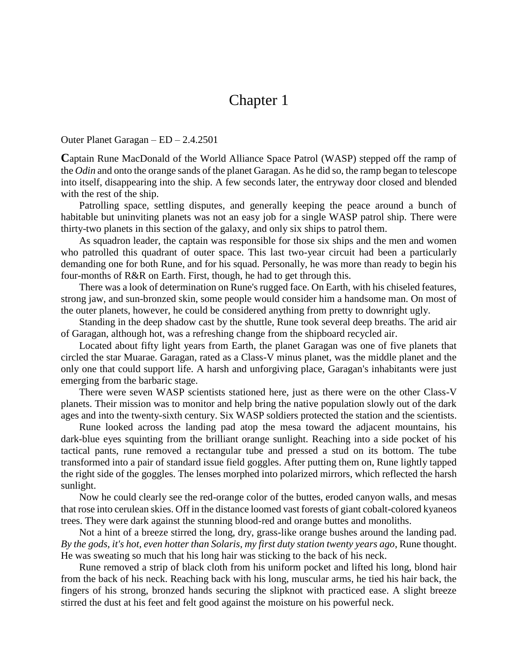## Chapter 1

Outer Planet Garagan – ED – 2.4.2501

**C**aptain Rune MacDonald of the World Alliance Space Patrol (WASP) stepped off the ramp of the *Odin* and onto the orange sands of the planet Garagan. As he did so, the ramp began to telescope into itself, disappearing into the ship. A few seconds later, the entryway door closed and blended with the rest of the ship.

Patrolling space, settling disputes, and generally keeping the peace around a bunch of habitable but uninviting planets was not an easy job for a single WASP patrol ship. There were thirty-two planets in this section of the galaxy, and only six ships to patrol them.

As squadron leader, the captain was responsible for those six ships and the men and women who patrolled this quadrant of outer space. This last two-year circuit had been a particularly demanding one for both Rune, and for his squad. Personally, he was more than ready to begin his four-months of R&R on Earth. First, though, he had to get through this.

There was a look of determination on Rune's rugged face. On Earth, with his chiseled features, strong jaw, and sun-bronzed skin, some people would consider him a handsome man. On most of the outer planets, however, he could be considered anything from pretty to downright ugly.

Standing in the deep shadow cast by the shuttle, Rune took several deep breaths. The arid air of Garagan, although hot, was a refreshing change from the shipboard recycled air.

Located about fifty light years from Earth, the planet Garagan was one of five planets that circled the star Muarae. Garagan, rated as a Class-V minus planet, was the middle planet and the only one that could support life. A harsh and unforgiving place, Garagan's inhabitants were just emerging from the barbaric stage.

There were seven WASP scientists stationed here, just as there were on the other Class-V planets. Their mission was to monitor and help bring the native population slowly out of the dark ages and into the twenty-sixth century. Six WASP soldiers protected the station and the scientists.

Rune looked across the landing pad atop the mesa toward the adjacent mountains, his dark-blue eyes squinting from the brilliant orange sunlight. Reaching into a side pocket of his tactical pants, rune removed a rectangular tube and pressed a stud on its bottom. The tube transformed into a pair of standard issue field goggles. After putting them on, Rune lightly tapped the right side of the goggles. The lenses morphed into polarized mirrors, which reflected the harsh sunlight.

Now he could clearly see the red-orange color of the buttes, eroded canyon walls, and mesas that rose into cerulean skies. Off in the distance loomed vast forests of giant cobalt-colored kyaneos trees. They were dark against the stunning blood-red and orange buttes and monoliths.

Not a hint of a breeze stirred the long, dry, grass-like orange bushes around the landing pad. *By the gods, it's hot, even hotter than Solaris*, *my first duty station twenty years ago*, Rune thought. He was sweating so much that his long hair was sticking to the back of his neck.

Rune removed a strip of black cloth from his uniform pocket and lifted his long, blond hair from the back of his neck. Reaching back with his long, muscular arms, he tied his hair back, the fingers of his strong, bronzed hands securing the slipknot with practiced ease. A slight breeze stirred the dust at his feet and felt good against the moisture on his powerful neck.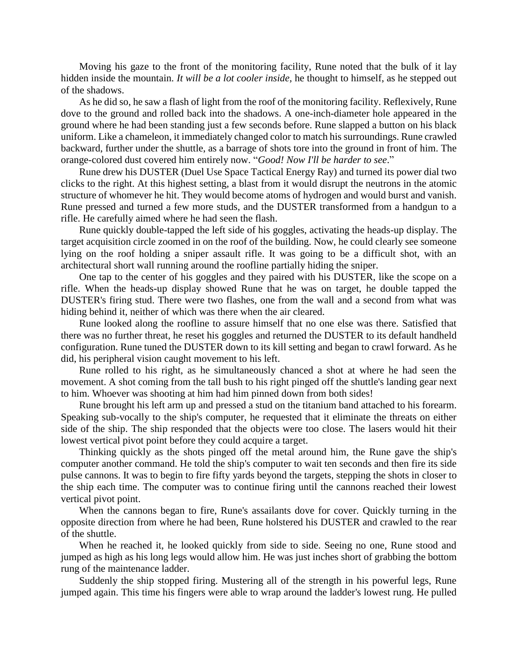Moving his gaze to the front of the monitoring facility, Rune noted that the bulk of it lay hidden inside the mountain. *It will be a lot cooler inside,* he thought to himself, as he stepped out of the shadows.

As he did so, he saw a flash of light from the roof of the monitoring facility. Reflexively, Rune dove to the ground and rolled back into the shadows. A one-inch-diameter hole appeared in the ground where he had been standing just a few seconds before. Rune slapped a button on his black uniform. Like a chameleon, it immediately changed color to match his surroundings. Rune crawled backward, further under the shuttle, as a barrage of shots tore into the ground in front of him. The orange-colored dust covered him entirely now. "*Good! Now I'll be harder to see*."

Rune drew his DUSTER (Duel Use Space Tactical Energy Ray) and turned its power dial two clicks to the right. At this highest setting, a blast from it would disrupt the neutrons in the atomic structure of whomever he hit. They would become atoms of hydrogen and would burst and vanish. Rune pressed and turned a few more studs, and the DUSTER transformed from a handgun to a rifle. He carefully aimed where he had seen the flash.

Rune quickly double-tapped the left side of his goggles, activating the heads-up display. The target acquisition circle zoomed in on the roof of the building. Now, he could clearly see someone lying on the roof holding a sniper assault rifle. It was going to be a difficult shot, with an architectural short wall running around the roofline partially hiding the sniper.

One tap to the center of his goggles and they paired with his DUSTER, like the scope on a rifle. When the heads-up display showed Rune that he was on target, he double tapped the DUSTER's firing stud. There were two flashes, one from the wall and a second from what was hiding behind it, neither of which was there when the air cleared.

Rune looked along the roofline to assure himself that no one else was there. Satisfied that there was no further threat, he reset his goggles and returned the DUSTER to its default handheld configuration. Rune tuned the DUSTER down to its kill setting and began to crawl forward. As he did, his peripheral vision caught movement to his left.

Rune rolled to his right, as he simultaneously chanced a shot at where he had seen the movement. A shot coming from the tall bush to his right pinged off the shuttle's landing gear next to him. Whoever was shooting at him had him pinned down from both sides!

Rune brought his left arm up and pressed a stud on the titanium band attached to his forearm. Speaking sub-vocally to the ship's computer, he requested that it eliminate the threats on either side of the ship. The ship responded that the objects were too close. The lasers would hit their lowest vertical pivot point before they could acquire a target.

Thinking quickly as the shots pinged off the metal around him, the Rune gave the ship's computer another command. He told the ship's computer to wait ten seconds and then fire its side pulse cannons. It was to begin to fire fifty yards beyond the targets, stepping the shots in closer to the ship each time. The computer was to continue firing until the cannons reached their lowest vertical pivot point.

When the cannons began to fire, Rune's assailants dove for cover. Quickly turning in the opposite direction from where he had been, Rune holstered his DUSTER and crawled to the rear of the shuttle.

When he reached it, he looked quickly from side to side. Seeing no one, Rune stood and jumped as high as his long legs would allow him. He was just inches short of grabbing the bottom rung of the maintenance ladder.

Suddenly the ship stopped firing. Mustering all of the strength in his powerful legs, Rune jumped again. This time his fingers were able to wrap around the ladder's lowest rung. He pulled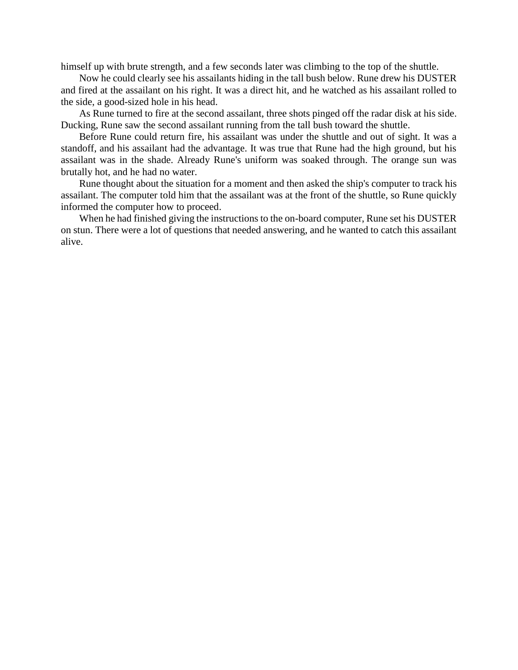himself up with brute strength, and a few seconds later was climbing to the top of the shuttle.

Now he could clearly see his assailants hiding in the tall bush below. Rune drew his DUSTER and fired at the assailant on his right. It was a direct hit, and he watched as his assailant rolled to the side, a good-sized hole in his head.

As Rune turned to fire at the second assailant, three shots pinged off the radar disk at his side. Ducking, Rune saw the second assailant running from the tall bush toward the shuttle.

Before Rune could return fire, his assailant was under the shuttle and out of sight. It was a standoff, and his assailant had the advantage. It was true that Rune had the high ground, but his assailant was in the shade. Already Rune's uniform was soaked through. The orange sun was brutally hot, and he had no water.

Rune thought about the situation for a moment and then asked the ship's computer to track his assailant. The computer told him that the assailant was at the front of the shuttle, so Rune quickly informed the computer how to proceed.

When he had finished giving the instructions to the on-board computer, Rune set his DUSTER on stun. There were a lot of questions that needed answering, and he wanted to catch this assailant alive.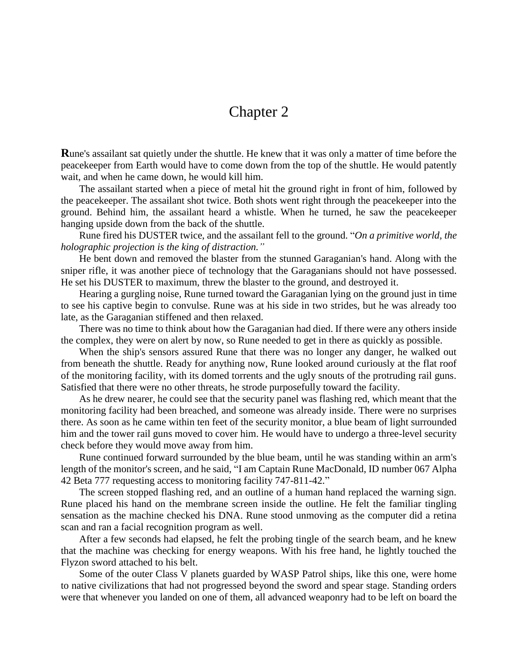## Chapter 2

**R**une's assailant sat quietly under the shuttle. He knew that it was only a matter of time before the peacekeeper from Earth would have to come down from the top of the shuttle. He would patently wait, and when he came down, he would kill him.

The assailant started when a piece of metal hit the ground right in front of him, followed by the peacekeeper. The assailant shot twice. Both shots went right through the peacekeeper into the ground. Behind him, the assailant heard a whistle. When he turned, he saw the peacekeeper hanging upside down from the back of the shuttle.

Rune fired his DUSTER twice, and the assailant fell to the ground. "*On a primitive world, the holographic projection is the king of distraction."*

He bent down and removed the blaster from the stunned Garaganian's hand. Along with the sniper rifle, it was another piece of technology that the Garaganians should not have possessed. He set his DUSTER to maximum, threw the blaster to the ground, and destroyed it.

Hearing a gurgling noise, Rune turned toward the Garaganian lying on the ground just in time to see his captive begin to convulse. Rune was at his side in two strides, but he was already too late, as the Garaganian stiffened and then relaxed.

There was no time to think about how the Garaganian had died. If there were any others inside the complex, they were on alert by now, so Rune needed to get in there as quickly as possible.

When the ship's sensors assured Rune that there was no longer any danger, he walked out from beneath the shuttle. Ready for anything now, Rune looked around curiously at the flat roof of the monitoring facility, with its domed torrents and the ugly snouts of the protruding rail guns. Satisfied that there were no other threats, he strode purposefully toward the facility.

As he drew nearer, he could see that the security panel was flashing red, which meant that the monitoring facility had been breached, and someone was already inside. There were no surprises there. As soon as he came within ten feet of the security monitor, a blue beam of light surrounded him and the tower rail guns moved to cover him. He would have to undergo a three-level security check before they would move away from him.

Rune continued forward surrounded by the blue beam, until he was standing within an arm's length of the monitor's screen, and he said, "I am Captain Rune MacDonald, ID number 067 Alpha 42 Beta 777 requesting access to monitoring facility 747-811-42."

The screen stopped flashing red, and an outline of a human hand replaced the warning sign. Rune placed his hand on the membrane screen inside the outline. He felt the familiar tingling sensation as the machine checked his DNA. Rune stood unmoving as the computer did a retina scan and ran a facial recognition program as well.

After a few seconds had elapsed, he felt the probing tingle of the search beam, and he knew that the machine was checking for energy weapons. With his free hand, he lightly touched the Flyzon sword attached to his belt.

Some of the outer Class V planets guarded by WASP Patrol ships, like this one, were home to native civilizations that had not progressed beyond the sword and spear stage. Standing orders were that whenever you landed on one of them, all advanced weaponry had to be left on board the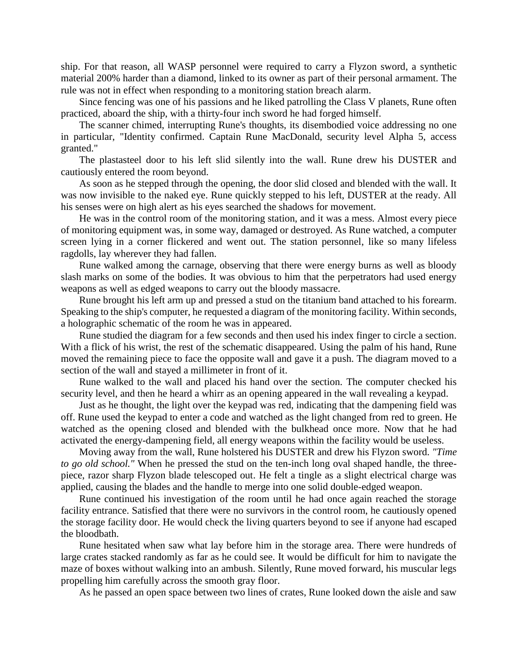ship. For that reason, all WASP personnel were required to carry a Flyzon sword, a synthetic material 200% harder than a diamond, linked to its owner as part of their personal armament. The rule was not in effect when responding to a monitoring station breach alarm.

Since fencing was one of his passions and he liked patrolling the Class V planets, Rune often practiced, aboard the ship, with a thirty-four inch sword he had forged himself.

The scanner chimed, interrupting Rune's thoughts, its disembodied voice addressing no one in particular, "Identity confirmed. Captain Rune MacDonald, security level Alpha 5, access granted."

The plastasteel door to his left slid silently into the wall. Rune drew his DUSTER and cautiously entered the room beyond.

As soon as he stepped through the opening, the door slid closed and blended with the wall. It was now invisible to the naked eye. Rune quickly stepped to his left, DUSTER at the ready. All his senses were on high alert as his eyes searched the shadows for movement.

He was in the control room of the monitoring station, and it was a mess. Almost every piece of monitoring equipment was, in some way, damaged or destroyed. As Rune watched, a computer screen lying in a corner flickered and went out. The station personnel, like so many lifeless ragdolls, lay wherever they had fallen.

Rune walked among the carnage, observing that there were energy burns as well as bloody slash marks on some of the bodies. It was obvious to him that the perpetrators had used energy weapons as well as edged weapons to carry out the bloody massacre.

Rune brought his left arm up and pressed a stud on the titanium band attached to his forearm. Speaking to the ship's computer, he requested a diagram of the monitoring facility. Within seconds, a holographic schematic of the room he was in appeared.

Rune studied the diagram for a few seconds and then used his index finger to circle a section. With a flick of his wrist, the rest of the schematic disappeared. Using the palm of his hand, Rune moved the remaining piece to face the opposite wall and gave it a push. The diagram moved to a section of the wall and stayed a millimeter in front of it.

Rune walked to the wall and placed his hand over the section. The computer checked his security level, and then he heard a whirr as an opening appeared in the wall revealing a keypad.

Just as he thought, the light over the keypad was red, indicating that the dampening field was off. Rune used the keypad to enter a code and watched as the light changed from red to green. He watched as the opening closed and blended with the bulkhead once more. Now that he had activated the energy-dampening field, all energy weapons within the facility would be useless.

Moving away from the wall, Rune holstered his DUSTER and drew his Flyzon sword. *"Time to go old school."* When he pressed the stud on the ten-inch long oval shaped handle, the threepiece, razor sharp Flyzon blade telescoped out. He felt a tingle as a slight electrical charge was applied, causing the blades and the handle to merge into one solid double-edged weapon.

Rune continued his investigation of the room until he had once again reached the storage facility entrance. Satisfied that there were no survivors in the control room, he cautiously opened the storage facility door. He would check the living quarters beyond to see if anyone had escaped the bloodbath.

Rune hesitated when saw what lay before him in the storage area. There were hundreds of large crates stacked randomly as far as he could see. It would be difficult for him to navigate the maze of boxes without walking into an ambush. Silently, Rune moved forward, his muscular legs propelling him carefully across the smooth gray floor.

As he passed an open space between two lines of crates, Rune looked down the aisle and saw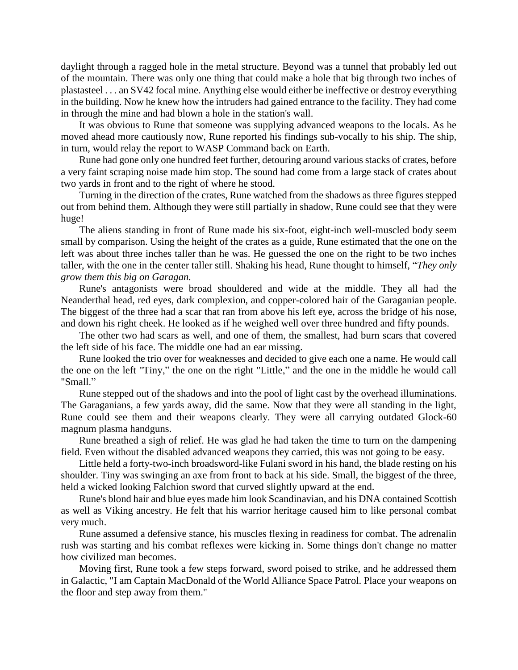daylight through a ragged hole in the metal structure. Beyond was a tunnel that probably led out of the mountain. There was only one thing that could make a hole that big through two inches of plastasteel . . . an SV42 focal mine. Anything else would either be ineffective or destroy everything in the building. Now he knew how the intruders had gained entrance to the facility. They had come in through the mine and had blown a hole in the station's wall.

It was obvious to Rune that someone was supplying advanced weapons to the locals. As he moved ahead more cautiously now, Rune reported his findings sub-vocally to his ship. The ship, in turn, would relay the report to WASP Command back on Earth.

Rune had gone only one hundred feet further, detouring around various stacks of crates, before a very faint scraping noise made him stop. The sound had come from a large stack of crates about two yards in front and to the right of where he stood.

Turning in the direction of the crates, Rune watched from the shadows as three figures stepped out from behind them. Although they were still partially in shadow, Rune could see that they were huge!

The aliens standing in front of Rune made his six-foot, eight-inch well-muscled body seem small by comparison. Using the height of the crates as a guide, Rune estimated that the one on the left was about three inches taller than he was. He guessed the one on the right to be two inches taller, with the one in the center taller still. Shaking his head, Rune thought to himself, "*They only grow them this big on Garagan.*

Rune's antagonists were broad shouldered and wide at the middle. They all had the Neanderthal head, red eyes, dark complexion, and copper-colored hair of the Garaganian people. The biggest of the three had a scar that ran from above his left eye, across the bridge of his nose, and down his right cheek. He looked as if he weighed well over three hundred and fifty pounds.

The other two had scars as well, and one of them, the smallest, had burn scars that covered the left side of his face. The middle one had an ear missing.

Rune looked the trio over for weaknesses and decided to give each one a name. He would call the one on the left "Tiny," the one on the right "Little," and the one in the middle he would call "Small."

Rune stepped out of the shadows and into the pool of light cast by the overhead illuminations. The Garaganians, a few yards away, did the same. Now that they were all standing in the light, Rune could see them and their weapons clearly. They were all carrying outdated Glock-60 magnum plasma handguns.

Rune breathed a sigh of relief. He was glad he had taken the time to turn on the dampening field. Even without the disabled advanced weapons they carried, this was not going to be easy.

Little held a forty-two-inch broadsword-like Fulani sword in his hand, the blade resting on his shoulder. Tiny was swinging an axe from front to back at his side. Small, the biggest of the three, held a wicked looking Falchion sword that curved slightly upward at the end.

Rune's blond hair and blue eyes made him look Scandinavian, and his DNA contained Scottish as well as Viking ancestry. He felt that his warrior heritage caused him to like personal combat very much.

Rune assumed a defensive stance, his muscles flexing in readiness for combat. The adrenalin rush was starting and his combat reflexes were kicking in. Some things don't change no matter how civilized man becomes.

Moving first, Rune took a few steps forward, sword poised to strike, and he addressed them in Galactic, "I am Captain MacDonald of the World Alliance Space Patrol. Place your weapons on the floor and step away from them."